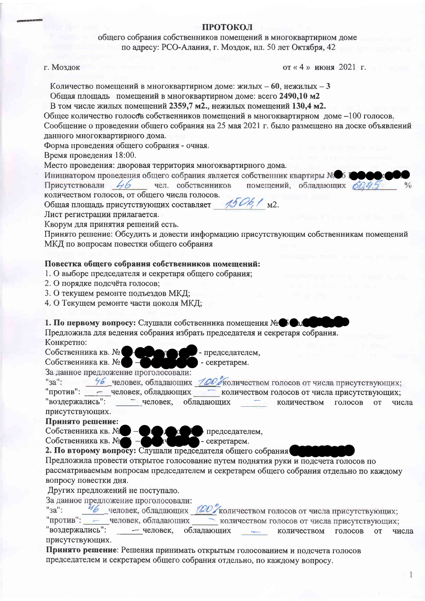## ПРОТОКОЛ

общего собрания собственников помещений в многоквартирном доме по адресу: РСО-Алания, г. Моздок, пл. 50 лет Октября, 42

#### г. Моздок

от «4» июня 2021 г.

Количество помещений в многоквартирном доме: жилых – 60, нежилых – 3 Общая площадь помещений в многоквартирном доме: всего 2490,10 м2

В том числе жилых помещений 2359,7 м2., нежилых помещений 130,4 м2.

Обшее количество голосо в собственников помещений в многоквартирном доме -100 голосов. Сообщение о проведении общего собрания на 25 мая 2021 г. было размещено на доске объявлений данного многоквартирного дома.

Форма проведения общего собрания - очная.

Время проведения 18:00.

Место проведения: дворовая территория многоквартирного дома.

Инициатором проведения общего собрания является собственник квартиры № 6 Г

Присутствовали 46 чел. собственников помещений, обладающих боле количеством голосов, от общего числа голосов.

Общая площадь присутствующих составляет 4506, 1 м2.

Лист регистрации прилагается.

Кворум для принятия решений есть.

Принято решение: Обсудить и довести информацию присутствующим собственникам помещений МКД по вопросам повестки общего собрания

# Повестка общего собрания собственников помещений:

- 1. О выборе председателя и секретаря общего собрания;
- 2. О порядке подсчёта голосов;
- 3. О текущем ремонте подъездов МКД;
- 4. О Текущем ремонте части цоколя МКД;

#### 1. По первому вопросу: Слушали собственника помещения № В Ф

Предложила для ведения собрания избрать председателя и секретаря собрания. Конкретно:

Собственника кв. №

- председателем.

Собственника кв. № - секретарем. За данное предложение проголосовали:

46 человек, обладающих 100 жоличеством голосов от числа присутствующих:  $"3a"$ :

- человек, обладающих количеством голосов от числа присутствующих; "против": "воздержались": - человек, обладающих количеством голосов **OT** числа

# присутствующих.

Принято решение:

Собственника кв. № Собственника кв. №

 $\bullet$   $\bullet$  председателем, - секретарем. 2. По второму вопросу: Слушали председателя общего собрания

Предложила провести открытое голосование путем поднятия руки и подсчета голосов по

рассматриваемым вопросам председателем и секретарем общего собрания отдельно по каждому вопросу повестки дня.

# Других предложений не поступало.

За данное предложение проголосовали:

46 человек, обладающих 100 количеством голосов от числа присутствующих:  $"3a"$ :

"против": - человек, обладающих количеством голосов от числа присутствующих;

"воздержались": - человек. обладающих количеством голосов **OT** числа присутствующих.

Принято решение: Решения принимать открытым голосованием и подсчета голосов председателем и секретарем общего собрания отдельно, по каждому вопросу.